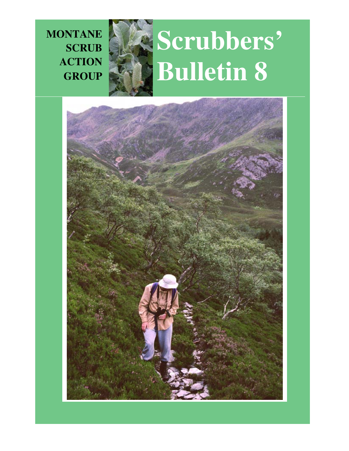**MONTANE SCRUB ACTION GROUP**



# **Scrubbers' Bulletin 8**

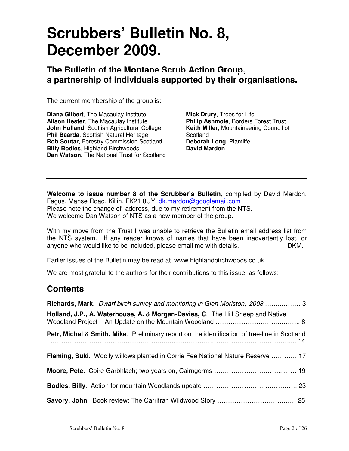## **Scrubbers' Bulletin No. 8, December 2009.**

**The Bulletin of the Montane Scrub Action Group, a partnership of individuals supported by their organisations.**

The current membership of the group is:

**Diana Gilbert**, The Macaulay Institute **Alison Hester**, The Macaulay Institute **John Holland**, Scottish Agricultural College **Phil Baarda**, Scottish Natural Heritage **Rob Soutar**, Forestry Commission Scotland **Billy Bodles. Highland Birchwoods Dan Watson,** The National Trust for Scotland

**Mick Drury**, Trees for Life **Philip Ashmole**, Borders Forest Trust **Keith Miller**, Mountaineering Council of Scotland **Deborah Long**, Plantlife **David Mardon** 

**Welcome to issue number 8 of the Scrubber's Bulletin,** compiled by David Mardon, Fagus, Manse Road, Killin, FK21 8UY, dk.mardon@googlemail.com Please note the change of address, due to my retirement from the NTS. We welcome Dan Watson of NTS as a new member of the group.

With my move from the Trust I was unable to retrieve the Bulletin email address list from the NTS system. If any reader knows of names that have been inadvertently lost, or anyone who would like to be included, please email me with details. DKM.

Earlier issues of the Bulletin may be read at www.highlandbirchwoods.co.uk

We are most grateful to the authors for their contributions to this issue, as follows:

### **Contents**

| <b>Richards, Mark.</b> Dwarf birch survey and monitoring in Glen Moriston, 2008 3             |
|-----------------------------------------------------------------------------------------------|
| Holland, J.P., A. Waterhouse, A. & Morgan-Davies, C. The Hill Sheep and Native                |
| Petr, Michal & Smith, Mike. Preliminary report on the identification of tree-line in Scotland |
| Fleming, Suki. Woolly willows planted in Corrie Fee National Nature Reserve  17               |
|                                                                                               |
|                                                                                               |
|                                                                                               |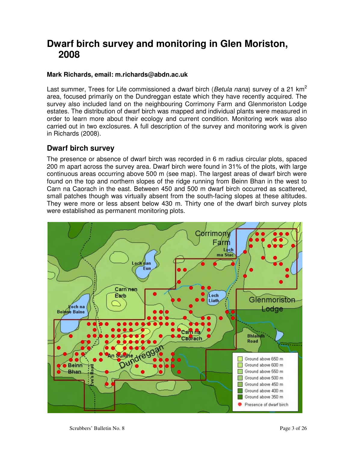## **Dwarf birch survey and monitoring in Glen Moriston, 2008**

#### **Mark Richards, email: m.richards@abdn.ac.uk**

Last summer, Trees for Life commissioned a dwarf birch (Betula nana) survey of a 21  $km^2$ area, focused primarily on the Dundreggan estate which they have recently acquired. The survey also included land on the neighbouring Corrimony Farm and Glenmoriston Lodge estates. The distribution of dwarf birch was mapped and individual plants were measured in order to learn more about their ecology and current condition. Monitoring work was also carried out in two exclosures. A full description of the survey and monitoring work is given in Richards (2008).

#### **Dwarf birch survey**

The presence or absence of dwarf birch was recorded in 6 m radius circular plots, spaced 200 m apart across the survey area. Dwarf birch were found in 31% of the plots, with large continuous areas occurring above 500 m (see map). The largest areas of dwarf birch were found on the top and northern slopes of the ridge running from Beinn Bhan in the west to Carn na Caorach in the east. Between 450 and 500 m dwarf birch occurred as scattered, small patches though was virtually absent from the south-facing slopes at these altitudes. They were more or less absent below 430 m. Thirty one of the dwarf birch survey plots were established as permanent monitoring plots.

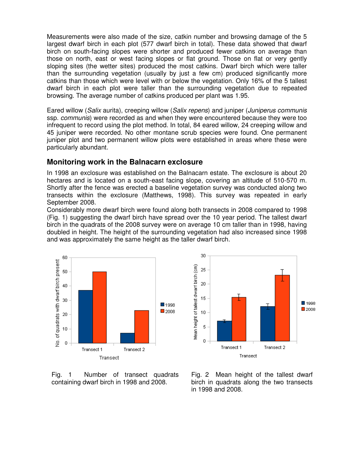Measurements were also made of the size, catkin number and browsing damage of the 5 largest dwarf birch in each plot (577 dwarf birch in total). These data showed that dwarf birch on south-facing slopes were shorter and produced fewer catkins on average than those on north, east or west facing slopes or flat ground. Those on flat or very gently sloping sites (the wetter sites) produced the most catkins. Dwarf birch which were taller than the surrounding vegetation (usually by just a few cm) produced significantly more catkins than those which were level with or below the vegetation. Only 16% of the 5 tallest dwarf birch in each plot were taller than the surrounding vegetation due to repeated browsing. The average number of catkins produced per plant was 1.95.

Eared willow (Salix aurita), creeping willow (Salix repens) and juniper (Juniperus communis ssp. communis) were recorded as and when they were encountered because they were too infrequent to record using the plot method. In total, 84 eared willow, 24 creeping willow and 45 juniper were recorded. No other montane scrub species were found. One permanent juniper plot and two permanent willow plots were established in areas where these were particularly abundant.

#### **Monitoring work in the Balnacarn exclosure**

In 1998 an exclosure was established on the Balnacarn estate. The exclosure is about 20 hectares and is located on a south-east facing slope, covering an altitude of 510-570 m. Shortly after the fence was erected a baseline vegetation survey was conducted along two transects within the exclosure (Matthews, 1998). This survey was repeated in early September 2008.

Considerably more dwarf birch were found along both transects in 2008 compared to 1998 (Fig. 1) suggesting the dwarf birch have spread over the 10 year period. The tallest dwarf birch in the quadrats of the 2008 survey were on average 10 cm taller than in 1998, having doubled in height. The height of the surrounding vegetation had also increased since 1998 and was approximately the same height as the taller dwarf birch.





Fig. 1 Number of transect quadrats containing dwarf birch in 1998 and 2008.

Fig. 2 Mean height of the tallest dwarf birch in quadrats along the two transects in 1998 and 2008.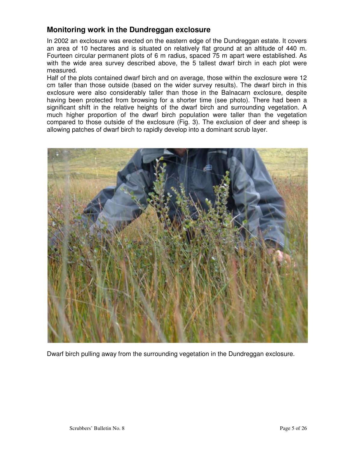#### **Monitoring work in the Dundreggan exclosure**

In 2002 an exclosure was erected on the eastern edge of the Dundreggan estate. It covers an area of 10 hectares and is situated on relatively flat ground at an altitude of 440 m. Fourteen circular permanent plots of 6 m radius, spaced 75 m apart were established. As with the wide area survey described above, the 5 tallest dwarf birch in each plot were measured.

Half of the plots contained dwarf birch and on average, those within the exclosure were 12 cm taller than those outside (based on the wider survey results). The dwarf birch in this exclosure were also considerably taller than those in the Balnacarn exclosure, despite having been protected from browsing for a shorter time (see photo). There had been a significant shift in the relative heights of the dwarf birch and surrounding vegetation. A much higher proportion of the dwarf birch population were taller than the vegetation compared to those outside of the exclosure (Fig. 3). The exclusion of deer and sheep is allowing patches of dwarf birch to rapidly develop into a dominant scrub layer.



Dwarf birch pulling away from the surrounding vegetation in the Dundreggan exclosure.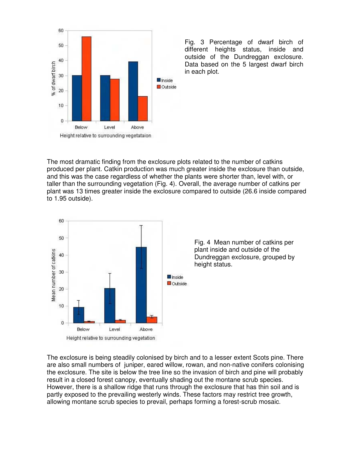

Fig. 3 Percentage of dwarf birch of different heights status, inside and outside of the Dundreggan exclosure. Data based on the 5 largest dwarf birch in each plot.

The most dramatic finding from the exclosure plots related to the number of catkins produced per plant. Catkin production was much greater inside the exclosure than outside, and this was the case regardless of whether the plants were shorter than, level with, or taller than the surrounding vegetation (Fig. 4). Overall, the average number of catkins per plant was 13 times greater inside the exclosure compared to outside (26.6 inside compared to 1.95 outside).



Fig. 4 Mean number of catkins per plant inside and outside of the Dundreggan exclosure, grouped by height status.

The exclosure is being steadily colonised by birch and to a lesser extent Scots pine. There are also small numbers of juniper, eared willow, rowan, and non-native conifers colonising the exclosure. The site is below the tree line so the invasion of birch and pine will probably result in a closed forest canopy, eventually shading out the montane scrub species. However, there is a shallow ridge that runs through the exclosure that has thin soil and is partly exposed to the prevailing westerly winds. These factors may restrict tree growth, allowing montane scrub species to prevail, perhaps forming a forest-scrub mosaic.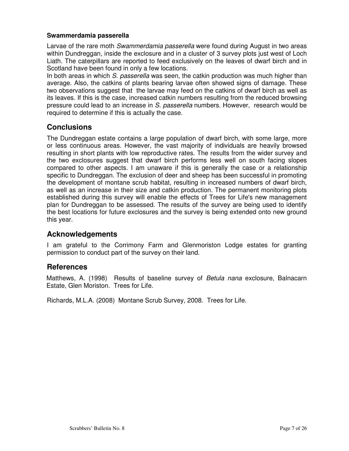#### **Swammerdamia passerella**

Larvae of the rare moth *Swammerdamia passerella* were found during August in two areas within Dundreggan, inside the exclosure and in a cluster of 3 survey plots just west of Loch Liath. The caterpillars are reported to feed exclusively on the leaves of dwarf birch and in Scotland have been found in only a few locations.

In both areas in which S. passerella was seen, the catkin production was much higher than average. Also, the catkins of plants bearing larvae often showed signs of damage. These two observations suggest that the larvae may feed on the catkins of dwarf birch as well as its leaves. If this is the case, increased catkin numbers resulting from the reduced browsing pressure could lead to an increase in S. passerella numbers. However, research would be required to determine if this is actually the case.

#### **Conclusions**

The Dundreggan estate contains a large population of dwarf birch, with some large, more or less continuous areas. However, the vast majority of individuals are heavily browsed resulting in short plants with low reproductive rates. The results from the wider survey and the two exclosures suggest that dwarf birch performs less well on south facing slopes compared to other aspects. I am unaware if this is generally the case or a relationship specific to Dundreggan. The exclusion of deer and sheep has been successful in promoting the development of montane scrub habitat, resulting in increased numbers of dwarf birch, as well as an increase in their size and catkin production. The permanent monitoring plots established during this survey will enable the effects of Trees for Life's new management plan for Dundreggan to be assessed. The results of the survey are being used to identify the best locations for future exclosures and the survey is being extended onto new ground this year.

#### **Acknowledgements**

I am grateful to the Corrimony Farm and Glenmoriston Lodge estates for granting permission to conduct part of the survey on their land.

#### **References**

Matthews, A. (1998) Results of baseline survey of Betula nana exclosure, Balnacarn Estate, Glen Moriston. Trees for Life.

Richards, M.L.A. (2008) Montane Scrub Survey, 2008. Trees for Life.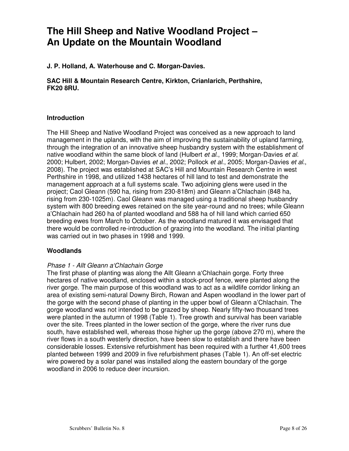## **The Hill Sheep and Native Woodland Project – An Update on the Mountain Woodland**

**J. P. Holland, A. Waterhouse and C. Morgan-Davies.** 

**SAC Hill & Mountain Research Centre, Kirkton, Crianlarich, Perthshire, FK20 8RU.** 

#### **Introduction**

The Hill Sheep and Native Woodland Project was conceived as a new approach to land management in the uplands, with the aim of improving the sustainability of upland farming, through the integration of an innovative sheep husbandry system with the establishment of native woodland within the same block of land (Hulbert et al., 1999; Morgan-Davies et al. 2000; Hulbert, 2002; Morgan-Davies et al., 2002; Pollock et al., 2005; Morgan-Davies et al., 2008). The project was established at SAC's Hill and Mountain Research Centre in west Perthshire in 1998, and utilized 1438 hectares of hill land to test and demonstrate the management approach at a full systems scale. Two adjoining glens were used in the project; Caol Gleann (590 ha, rising from 230-818m) and Gleann a'Chlachain (848 ha, rising from 230-1025m). Caol Gleann was managed using a traditional sheep husbandry system with 800 breeding ewes retained on the site year-round and no trees; while Gleann a'Chlachain had 260 ha of planted woodland and 588 ha of hill land which carried 650 breeding ewes from March to October. As the woodland matured it was envisaged that there would be controlled re-introduction of grazing into the woodland. The initial planting was carried out in two phases in 1998 and 1999.

#### **Woodlands**

#### Phase 1 - Allt Gleann a'Chlachain Gorge

The first phase of planting was along the Allt Gleann a'Chlachain gorge. Forty three hectares of native woodland, enclosed within a stock-proof fence, were planted along the river gorge. The main purpose of this woodland was to act as a wildlife corridor linking an area of existing semi-natural Downy Birch, Rowan and Aspen woodland in the lower part of the gorge with the second phase of planting in the upper bowl of Gleann a'Chlachain. The gorge woodland was not intended to be grazed by sheep. Nearly fifty-two thousand trees were planted in the autumn of 1998 (Table 1). Tree growth and survival has been variable over the site. Trees planted in the lower section of the gorge, where the river runs due south, have established well, whereas those higher up the gorge (above 270 m), where the river flows in a south westerly direction, have been slow to establish and there have been considerable losses. Extensive refurbishment has been required with a further 41,600 trees planted between 1999 and 2009 in five refurbishment phases (Table 1). An off-set electric wire powered by a solar panel was installed along the eastern boundary of the gorge woodland in 2006 to reduce deer incursion.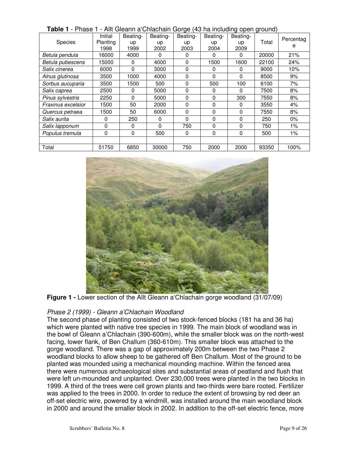| IUNIU I<br>1 1100 L<br>Species | Initial<br>Planting | Alle Greating Orligenality Gorge (40 nd including open ground)<br>Beating-<br>up | Beating-<br>up | Beating-<br>up | Beating-<br>up | Beating-<br>up | Total | Percentag<br>е |
|--------------------------------|---------------------|----------------------------------------------------------------------------------|----------------|----------------|----------------|----------------|-------|----------------|
|                                | 1998<br>16000       | 1999<br>4000                                                                     | 2002<br>0      | 2003<br>0      | 2004           | 2009           | 20000 | 21%            |
| Betula pendula                 |                     |                                                                                  |                |                | 0              | 0              |       |                |
| Betula pubescens               | 15000               | 0                                                                                | 4000           | 0              | 1500           | 1600           | 22100 | 24%            |
| Salix cinerea                  | 6000                | $\Omega$                                                                         | 3000           | $\Omega$       | 0              | 0              | 9000  | 10%            |
| Alnus glutinosa                | 3500                | 1000                                                                             | 4000           | 0              | 0              | 0              | 8500  | 9%             |
| Sorbus aucuparia               | 3500                | 1500                                                                             | 500            | 0              | 500            | 100            | 6100  | 7%             |
| Salix caprea                   | 2500                | 0                                                                                | 5000           | 0              | 0              | 0              | 7500  | 8%             |
| Pinus sylvestris               | 2250                | 0                                                                                | 5000           | 0              | 0              | 300            | 7550  | 8%             |
| Fraxinus excelsior             | 1500                | 50                                                                               | 2000           | $\Omega$       | 0              | 0              | 3550  | 4%             |
| Quercus petraea                | 1500                | 50                                                                               | 6000           | $\Omega$       | 0              | 0              | 7550  | 8%             |
| Salix aurita                   | 0                   | 250                                                                              | 0              | $\Omega$       | 0              | 0              | 250   | $0\%$          |
| Salix lapponum                 | $\mathbf 0$         | 0                                                                                | 0              | 750            | 0              | 0              | 750   | 1%             |
| Populus tremula                | 0                   | 0                                                                                | 500            | 0              | 0              | 0              | 500   | $1\%$          |
|                                |                     |                                                                                  |                |                |                |                |       |                |
| Total                          | 51750               | 6850                                                                             | 30000          | 750            | 2000           | 2000           | 93350 | 100%           |

**Table 1** - Phase 1 - Allt Gleann a'Chlachain Gorge (43 ha including open ground)



**Figure 1 -** Lower section of the Allt Gleann a'Chlachain gorge woodland (31/07/09)

#### Phase 2 (1999) - Gleann a'Chlachain Woodland

The second phase of planting consisted of two stock-fenced blocks (181 ha and 36 ha) which were planted with native tree species in 1999. The main block of woodland was in the bowl of Gleann a'Chlachain (390-600m), while the smaller block was on the north-west facing, lower flank, of Ben Challum (360-610m). This smaller block was attached to the gorge woodland. There was a gap of approximately 200m between the two Phase 2 woodland blocks to allow sheep to be gathered off Ben Challum. Most of the ground to be planted was mounded using a mechanical mounding machine. Within the fenced area there were numerous archaeological sites and substantial areas of peatland and flush that were left un-mounded and unplanted. Over 230,000 trees were planted in the two blocks in 1999. A third of the trees were cell grown plants and two-thirds were bare rooted. Fertilizer was applied to the trees in 2000. In order to reduce the extent of browsing by red deer an off-set electric wire, powered by a windmill, was installed around the main woodland block in 2000 and around the smaller block in 2002. In addition to the off-set electric fence, more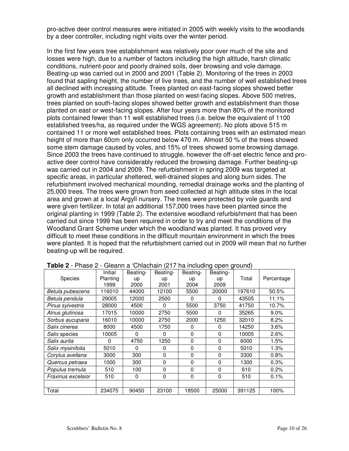pro-active deer control measures were initiated in 2005 with weekly visits to the woodlands by a deer controller, including night visits over the winter period.

In the first few years tree establishment was relatively poor over much of the site and losses were high, due to a number of factors including the high altitude, harsh climatic conditions, nutrient-poor and poorly drained soils, deer browsing and vole damage. Beating-up was carried out in 2000 and 2001 (Table 2). Monitoring of the trees in 2003 found that sapling height, the number of live trees, and the number of well established trees all declined with increasing altitude. Trees planted on east-facing slopes showed better growth and establishment than those planted on west-facing slopes. Above 500 metres, trees planted on south-facing slopes showed better growth and establishment than those planted on east or west-facing slopes. After four years more than 80% of the monitored plots contained fewer than 11 well established trees (i.e. below the equivalent of 1100 established trees/ha, as required under the WGS agreement). No plots above 515 m contained 11 or more well established trees. Plots containing trees with an estimated mean height of more than 60cm only occurred below 470 m. Almost 50 % of the trees showed some stem damage caused by voles, and 15% of trees showed some browsing damage. Since 2003 the trees have continued to struggle, however the off-set electric fence and proactive deer control have considerably reduced the browsing damage. Further beating-up was carried out in 2004 and 2009. The refurbishment in spring 2009 was targeted at specific areas, in particular sheltered, well-drained slopes and along burn sides. The refurbishment involved mechanical mounding, remedial drainage works and the planting of 25,000 trees. The trees were grown from seed collected at high altitude sites in the local area and grown at a local Argyll nursery. The trees were protected by vole guards and were given fertilizer. In total an additional 157,000 trees have been planted since the original planting in 1999 (Table 2). The extensive woodland refurbishment that has been carried out since 1999 has been required in order to try and meet the conditions of the Woodland Grant Scheme under which the woodland was planted. It has proved very difficult to meet these conditions in the difficult mountain environment in which the trees were planted. It is hoped that the refurbishment carried out in 2009 will mean that no further beating-up will be required.

|                      | ------   | ------------ |          | $1 - 11$ and moldering opon ground, |          |        |            |
|----------------------|----------|--------------|----------|-------------------------------------|----------|--------|------------|
|                      | Initial  | Beating-     | Beating- | Beating-                            | Beating- |        |            |
| <b>Species</b>       | Planting | up           | up       | up                                  | up       | Total  | Percentage |
|                      | 1999     | 2000         | 2001     | 2004                                | 2009     |        |            |
| Betula pubescens     | 116010   | 44000        | 12100    | 5500                                | 20000    | 197610 | 50.5%      |
| Betula pendula       | 29005    | 12000        | 2500     | $\Omega$                            | 0        | 43505  | 11.1%      |
| Pinus sylvestris     | 28000    | 4500         | 0        | 5500                                | 3750     | 41750  | 10.7%      |
| Alnus glutinosa      | 17015    | 10000        | 2750     | 5500                                | 0        | 35265  | 9.0%       |
| Sorbus aucuparia     | 16010    | 10000        | 2750     | 2000                                | 1250     | 32010  | 8.2%       |
| Salix cinerea        | 8000     | 4500         | 1750     | 0                                   | 0        | 14250  | 3.6%       |
| <i>Salix</i> species | 10005    | 0            | 0        | $\mathbf 0$                         | 0        | 10005  | 2.6%       |
| Salix aurita         | 0        | 4750         | 1250     | 0                                   | 0        | 6000   | 1.5%       |
| Salix mysinifolia    | 5010     | 0            | 0        | 0                                   | 0        | 5010   | 1.3%       |
| Corylus avellana     | 3000     | 300          | 0        | $\Omega$                            | 0        | 3300   | 0.8%       |
| Quercus petraea      | 1000     | 300          | 0        | 0                                   | $\Omega$ | 1300   | 0.3%       |
| Populus tremula      | 510      | 100          | $\Omega$ | $\Omega$                            | $\Omega$ | 610    | 0.2%       |
| Fraxinus excelsior   | 510      | 0            | 0        | $\Omega$                            | $\Omega$ | 510    | 0.1%       |
|                      |          |              |          |                                     |          |        |            |
| Total                | 234075   | 90450        | 23100    | 18500                               | 25000    | 391125 | 100%       |

|  | Table 2 - Phase 2 - Gleann a 'Chlachain (217 ha including open ground) |  |
|--|------------------------------------------------------------------------|--|
|--|------------------------------------------------------------------------|--|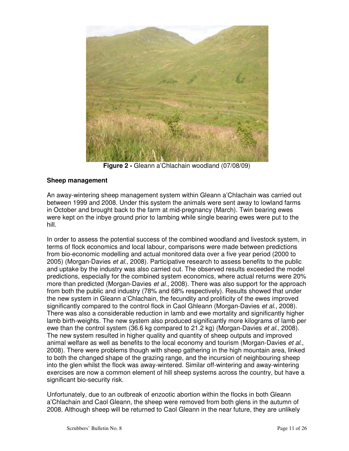

**Figure 2 -** Gleann a'Chlachain woodland (07/08/09)

#### **Sheep management**

An away-wintering sheep management system within Gleann a'Chlachain was carried out between 1999 and 2008. Under this system the animals were sent away to lowland farms in October and brought back to the farm at mid-pregnancy (March). Twin bearing ewes were kept on the inbye ground prior to lambing while single bearing ewes were put to the hill.

In order to assess the potential success of the combined woodland and livestock system, in terms of flock economics and local labour, comparisons were made between predictions from bio-economic modelling and actual monitored data over a five year period (2000 to 2005) (Morgan-Davies et al., 2008). Participative research to assess benefits to the public and uptake by the industry was also carried out. The observed results exceeded the model predictions, especially for the combined system economics, where actual returns were 20% more than predicted (Morgan-Davies *et al.*, 2008). There was also support for the approach from both the public and industry (78% and 68% respectively). Results showed that under the new system in Gleann a'Chlachain, the fecundity and prolificity of the ewes improved significantly compared to the control flock in Caol Ghleann (Morgan-Davies et al., 2008). There was also a considerable reduction in lamb and ewe mortality and significantly higher lamb birth-weights. The new system also produced significantly more kilograms of lamb per ewe than the control system (36.6 kg compared to 21.2 kg) (Morgan-Davies *et al.*, 2008). The new system resulted in higher quality and quantity of sheep outputs and improved animal welfare as well as benefits to the local economy and tourism (Morgan-Davies et al., 2008). There were problems though with sheep gathering in the high mountain area, linked to both the changed shape of the grazing range, and the incursion of neighbouring sheep into the glen whilst the flock was away-wintered. Similar off-wintering and away-wintering exercises are now a common element of hill sheep systems across the country, but have a significant bio-security risk.

Unfortunately, due to an outbreak of enzootic abortion within the flocks in both Gleann a'Chlachain and Caol Gleann, the sheep were removed from both glens in the autumn of 2008. Although sheep will be returned to Caol Gleann in the near future, they are unlikely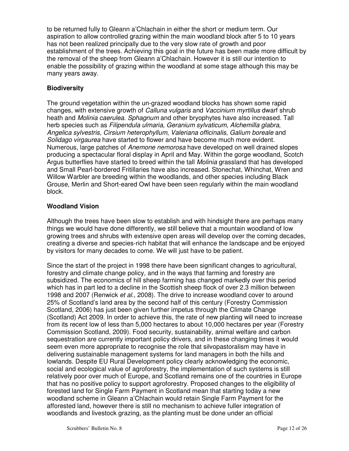to be returned fully to Gleann a'Chlachain in either the short or medium term. Our aspiration to allow controlled grazing within the main woodland block after 5 to 10 years has not been realized principally due to the very slow rate of growth and poor establishment of the trees. Achieving this goal in the future has been made more difficult by the removal of the sheep from Gleann a'Chlachain. However it is still our intention to enable the possibility of grazing within the woodland at some stage although this may be many years away.

#### **Biodiversity**

The ground vegetation within the un-grazed woodland blocks has shown some rapid changes, with extensive growth of Calluna vulgaris and Vaccinium myrtillus dwarf shrub heath and *Molinia caerulea. Sphagnum* and other bryophytes have also increased. Tall herb species such as Filipendula ulmaria, Geranium sylvaticum, Alchemilla glabra, Angelica sylvestris, Cirsium heterophyllum, Valeriana officinalis, Galium boreale and Solidago virgaurea have started to flower and have become much more evident. Numerous, large patches of Anemone nemorosa have developed on well drained slopes producing a spectacular floral display in April and May. Within the gorge woodland, Scotch Argus butterflies have started to breed within the tall *Molinia* grassland that has developed and Small Pearl-bordered Fritillaries have also increased. Stonechat, Whinchat, Wren and Willow Warbler are breeding within the woodlands, and other species including Black Grouse, Merlin and Short-eared Owl have been seen regularly within the main woodland block.

#### **Woodland Vision**

Although the trees have been slow to establish and with hindsight there are perhaps many things we would have done differently, we still believe that a mountain woodland of low growing trees and shrubs with extensive open areas will develop over the coming decades, creating a diverse and species-rich habitat that will enhance the landscape and be enjoyed by visitors for many decades to come. We will just have to be patient.

Since the start of the project in 1998 there have been significant changes to agricultural, forestry and climate change policy, and in the ways that farming and forestry are subsidized. The economics of hill sheep farming has changed markedly over this period which has in part led to a decline in the Scottish sheep flock of over 2.3 million between 1998 and 2007 (Renwick et al., 2008). The drive to increase woodland cover to around 25% of Scotland's land area by the second half of this century (Forestry Commission Scotland, 2006) has just been given further impetus through the Climate Change (Scotland) Act 2009. In order to achieve this, the rate of new planting will need to increase from its recent low of less than 5,000 hectares to about 10,000 hectares per year (Forestry Commission Scotland, 2009). Food security, sustainability, animal welfare and carbon sequestration are currently important policy drivers, and in these changing times it would seem even more appropriate to recognise the role that silvopastoralism may have in delivering sustainable management systems for land managers in both the hills and lowlands. Despite EU Rural Development policy clearly acknowledging the economic, social and ecological value of agroforestry, the implementation of such systems is still relatively poor over much of Europe, and Scotland remains one of the countries in Europe that has no positive policy to support agroforestry. Proposed changes to the eligibility of forested land for Single Farm Payment in Scotland mean that starting today a new woodland scheme in Gleann a'Chlachain would retain Single Farm Payment for the afforested land, however there is still no mechanism to achieve fuller integration of woodlands and livestock grazing, as the planting must be done under an official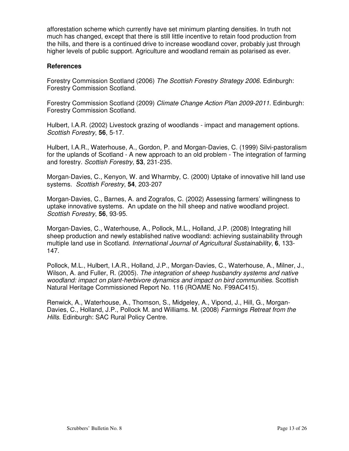afforestation scheme which currently have set minimum planting densities. In truth not much has changed, except that there is still little incentive to retain food production from the hills, and there is a continued drive to increase woodland cover, probably just through higher levels of public support. Agriculture and woodland remain as polarised as ever.

#### **References**

Forestry Commission Scotland (2006) The Scottish Forestry Strategy 2006. Edinburgh: Forestry Commission Scotland.

Forestry Commission Scotland (2009) Climate Change Action Plan 2009-2011. Edinburgh: Forestry Commission Scotland.

Hulbert, I.A.R. (2002) Livestock grazing of woodlands - impact and management options. Scottish Forestry, **56**, 5-17.

Hulbert, I.A.R., Waterhouse, A., Gordon, P. and Morgan-Davies, C. (1999) Silvi-pastoralism for the uplands of Scotland - A new approach to an old problem - The integration of farming and forestry. Scottish Forestry, **53**, 231-235.

Morgan-Davies, C., Kenyon, W. and Wharmby, C. (2000) Uptake of innovative hill land use systems. Scottish Forestry, **54**, 203-207

Morgan-Davies, C., Barnes, A. and Zografos, C. (2002) Assessing farmers' willingness to uptake innovative systems. An update on the hill sheep and native woodland project. Scottish Forestry, **56**, 93-95.

Morgan-Davies, C., Waterhouse, A., Pollock, M.L., Holland, J.P. (2008) Integrating hill sheep production and newly established native woodland: achieving sustainability through multiple land use in Scotland. International Journal of Agricultural Sustainability, **6**, 133- 147.

Pollock, M.L., Hulbert, I.A.R., Holland, J.P., Morgan-Davies, C., Waterhouse, A., Milner, J., Wilson, A. and Fuller, R. (2005). The integration of sheep husbandry systems and native woodland: impact on plant-herbivore dynamics and impact on bird communities. Scottish Natural Heritage Commissioned Report No. 116 (ROAME No. F99AC415).

Renwick, A., Waterhouse, A., Thomson, S., Midgeley, A., Vipond, J., Hill, G., Morgan-Davies, C., Holland, J.P., Pollock M. and Williams. M. (2008) Farmings Retreat from the Hills. Edinburgh: SAC Rural Policy Centre.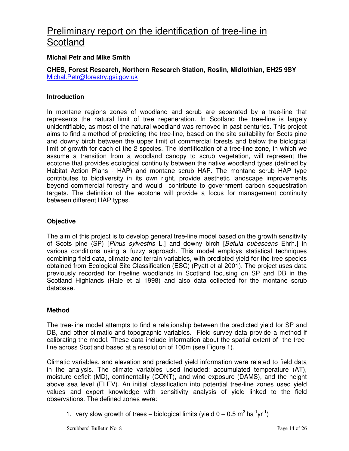## Preliminary report on the identification of tree-line in Scotland

#### **Michal Petr and Mike Smith**

**CHES, Forest Research, Northern Research Station, Roslin, Midlothian, EH25 9SY**  Michal.Petr@forestry.gsi.gov.uk

#### **Introduction**

In montane regions zones of woodland and scrub are separated by a tree-line that represents the natural limit of tree regeneration. In Scotland the tree-line is largely unidentifiable, as most of the natural woodland was removed in past centuries. This project aims to find a method of predicting the tree-line, based on the site suitability for Scots pine and downy birch between the upper limit of commercial forests and below the biological limit of growth for each of the 2 species. The identification of a tree-line zone, in which we assume a transition from a woodland canopy to scrub vegetation, will represent the ecotone that provides ecological continuity between the native woodland types (defined by Habitat Action Plans - HAP) and montane scrub HAP. The montane scrub HAP type contributes to biodiversity in its own right, provide aesthetic landscape improvements beyond commercial forestry and would contribute to government carbon sequestration targets. The definition of the ecotone will provide a focus for management continuity between different HAP types.

#### **Objective**

The aim of this project is to develop general tree-line model based on the growth sensitivity of Scots pine (SP) [Pinus sylvestris L.] and downy birch [Betula pubescens Ehrh.] in various conditions using a fuzzy approach. This model employs statistical techniques combining field data, climate and terrain variables, with predicted yield for the tree species obtained from Ecological Site Classification (ESC) (Pyatt et al 2001). The project uses data previously recorded for treeline woodlands in Scotland focusing on SP and DB in the Scotland Highlands (Hale et al 1998) and also data collected for the montane scrub database.

#### **Method**

The tree-line model attempts to find a relationship between the predicted yield for SP and DB, and other climatic and topographic variables. Field survey data provide a method if calibrating the model. These data include information about the spatial extent of the treeline across Scotland based at a resolution of 100m (see Figure 1).

Climatic variables, and elevation and predicted yield information were related to field data in the analysis. The climate variables used included: accumulated temperature (AT), moisture deficit (MD), continentality (CONT), and wind exposure (DAMS), and the height above sea level (ELEV). An initial classification into potential tree-line zones used yield values and expert knowledge with sensitivity analysis of yield linked to the field observations. The defined zones were:

1. very slow growth of trees – biological limits (yield  $0 - 0.5$  m<sup>3</sup> ha<sup>-1</sup>yr<sup>-1</sup>)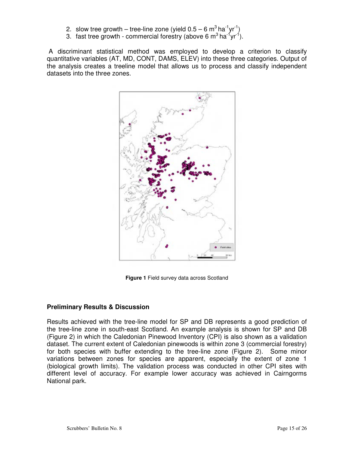- 2. slow tree growth tree-line zone (yield  $0.5 6$  m<sup>3</sup> ha<sup>-1</sup>yr<sup>-1</sup>)
- 3. fast tree growth commercial forestry (above 6  $m^3$  ha<sup>-1</sup>yr<sup>-1</sup>).

 A discriminant statistical method was employed to develop a criterion to classify quantitative variables (AT, MD, CONT, DAMS, ELEV) into these three categories. Output of the analysis creates a treeline model that allows us to process and classify independent datasets into the three zones.



**Figure 1** Field survey data across Scotland

#### **Preliminary Results & Discussion**

Results achieved with the tree-line model for SP and DB represents a good prediction of the tree-line zone in south-east Scotland. An example analysis is shown for SP and DB (Figure 2) in which the Caledonian Pinewood Inventory (CPI) is also shown as a validation dataset. The current extent of Caledonian pinewoods is within zone 3 (commercial forestry) for both species with buffer extending to the tree-line zone (Figure 2). Some minor variations between zones for species are apparent, especially the extent of zone 1 (biological growth limits). The validation process was conducted in other CPI sites with different level of accuracy. For example lower accuracy was achieved in Cairngorms National park.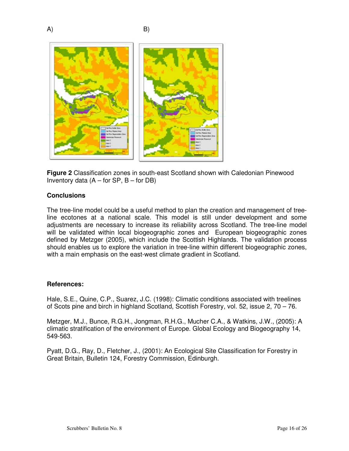

**Figure 2** Classification zones in south-east Scotland shown with Caledonian Pinewood Inventory data  $(A - for SP, B - for DB)$ 

#### **Conclusions**

The tree-line model could be a useful method to plan the creation and management of treeline ecotones at a national scale. This model is still under development and some adjustments are necessary to increase its reliability across Scotland. The tree-line model will be validated within local biogeographic zones and European biogeographic zones defined by Metzger (2005), which include the Scottish Highlands. The validation process should enables us to explore the variation in tree-line within different biogeographic zones, with a main emphasis on the east-west climate gradient in Scotland.

#### **References:**

Hale, S.E., Quine, C.P., Suarez, J.C. (1998): Climatic conditions associated with treelines of Scots pine and birch in highland Scotland, Scottish Forestry, vol. 52, issue 2, 70 – 76.

Metzger, M.J., Bunce, R.G.H., Jongman, R.H.G., Mucher C.A., & Watkins, J.W., (2005): A climatic stratification of the environment of Europe. Global Ecology and Biogeography 14, 549-563.

Pyatt, D.G., Ray, D., Fletcher, J., (2001): An Ecological Site Classification for Forestry in Great Britain, Bulletin 124, Forestry Commission, Edinburgh.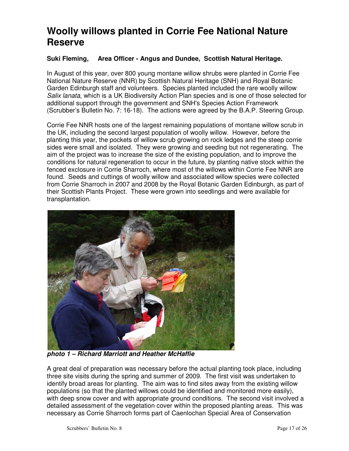## **Woolly willows planted in Corrie Fee National Nature Reserve**

#### **Suki Fleming, Area Officer - Angus and Dundee, Scottish Natural Heritage.**

In August of this year, over 800 young montane willow shrubs were planted in Corrie Fee National Nature Reserve (NNR) by Scottish Natural Heritage (SNH) and Royal Botanic Garden Edinburgh staff and volunteers. Species planted included the rare woolly willow Salix lanata, which is a UK Biodiversity Action Plan species and is one of those selected for additional support through the government and SNH's Species Action Framework (Scrubber's Bulletin No. 7: 16-18). The actions were agreed by the B.A.P. Steering Group.

Corrie Fee NNR hosts one of the largest remaining populations of montane willow scrub in the UK, including the second largest population of woolly willow. However, before the planting this year, the pockets of willow scrub growing on rock ledges and the steep corrie sides were small and isolated. They were growing and seeding but not regenerating. The aim of the project was to increase the size of the existing population, and to improve the conditions for natural regeneration to occur in the future, by planting native stock within the fenced exclosure in Corrie Sharroch, where most of the willows within Corrie Fee NNR are found. Seeds and cuttings of woolly willow and associated willow species were collected from Corrie Sharroch in 2007 and 2008 by the Royal Botanic Garden Edinburgh, as part of their Scottish Plants Project. These were grown into seedlings and were available for transplantation.



**photo 1 – Richard Marriott and Heather McHaffie** 

A great deal of preparation was necessary before the actual planting took place, including three site visits during the spring and summer of 2009. The first visit was undertaken to identify broad areas for planting. The aim was to find sites away from the existing willow populations (so that the planted willows could be identified and monitored more easily), with deep snow cover and with appropriate ground conditions. The second visit involved a detailed assessment of the vegetation cover within the proposed planting areas. This was necessary as Corrie Sharroch forms part of Caenlochan Special Area of Conservation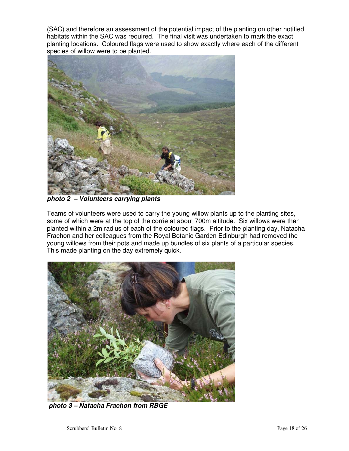(SAC) and therefore an assessment of the potential impact of the planting on other notified habitats within the SAC was required. The final visit was undertaken to mark the exact planting locations. Coloured flags were used to show exactly where each of the different species of willow were to be planted.



**photo 2 – Volunteers carrying plants** 

Teams of volunteers were used to carry the young willow plants up to the planting sites, some of which were at the top of the corrie at about 700m altitude. Six willows were then planted within a 2m radius of each of the coloured flags. Prior to the planting day, Natacha Frachon and her colleagues from the Royal Botanic Garden Edinburgh had removed the young willows from their pots and made up bundles of six plants of a particular species. This made planting on the day extremely quick.



**photo 3 – Natacha Frachon from RBGE**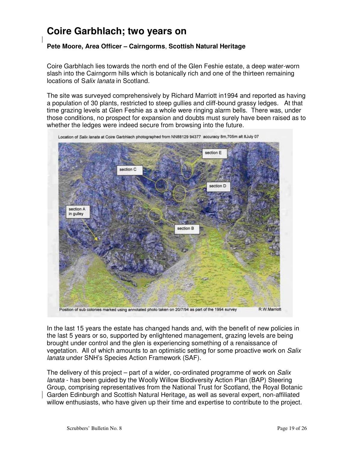## **Coire Garbhlach; two years on**

#### **Pete Moore, Area Officer – Cairngorms**, **Scottish Natural Heritage**

Coire Garbhlach lies towards the north end of the Glen Feshie estate, a deep water-worn slash into the Cairngorm hills which is botanically rich and one of the thirteen remaining locations of Salix lanata in Scotland.

The site was surveyed comprehensively by Richard Marriott in1994 and reported as having a population of 30 plants, restricted to steep gullies and cliff-bound grassy ledges. At that time grazing levels at Glen Feshie as a whole were ringing alarm bells. There was, under those conditions, no prospect for expansion and doubts must surely have been raised as to whether the ledges were indeed secure from browsing into the future.



Location of Salix lanata at Coire Garbhlach photographed from NN88129 94377 accuracy 8m,705m alt 8July 07

In the last 15 years the estate has changed hands and, with the benefit of new policies in the last 5 years or so, supported by enlightened management, grazing levels are being brought under control and the glen is experiencing something of a renaissance of vegetation. All of which amounts to an optimistic setting for some proactive work on Salix lanata under SNH's Species Action Framework (SAF).

The delivery of this project – part of a wider, co-ordinated programme of work on Salix lanata - has been guided by the Woolly Willow Biodiversity Action Plan (BAP) Steering Group, comprising representatives from the National Trust for Scotland, the Royal Botanic Garden Edinburgh and Scottish Natural Heritage, as well as several expert, non-affiliated willow enthusiasts, who have given up their time and expertise to contribute to the project.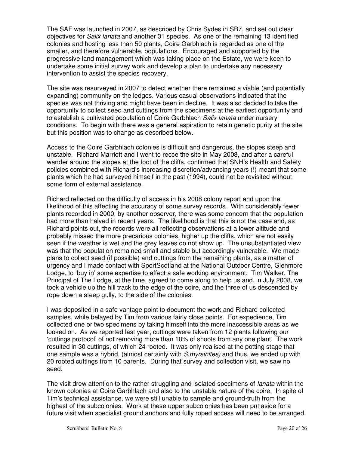The SAF was launched in 2007, as described by Chris Sydes in SB7, and set out clear objectives for *Salix lanata* and another 31 species. As one of the remaining 13 identified colonies and hosting less than 50 plants, Coire Garbhlach is regarded as one of the smaller, and therefore vulnerable, populations. Encouraged and supported by the progressive land management which was taking place on the Estate, we were keen to undertake some initial survey work and develop a plan to undertake any necessary intervention to assist the species recovery.

The site was resurveyed in 2007 to detect whether there remained a viable (and potentially expanding) community on the ledges. Various casual observations indicated that the species was not thriving and might have been in decline. It was also decided to take the opportunity to collect seed and cuttings from the specimens at the earliest opportunity and to establish a cultivated population of Coire Garbhlach Salix lanata under nursery conditions. To begin with there was a general aspiration to retain genetic purity at the site, but this position was to change as described below.

Access to the Coire Garbhlach colonies is difficult and dangerous, the slopes steep and unstable. Richard Marriott and I went to recce the site in May 2008, and after a careful wander around the slopes at the foot of the cliffs, confirmed that SNH's Health and Safety policies combined with Richard's increasing discretion/advancing years (!) meant that some plants which he had surveyed himself in the past (1994), could not be revisited without some form of external assistance.

Richard reflected on the difficulty of access in his 2008 colony report and upon the likelihood of this affecting the accuracy of some survey records. With considerably fewer plants recorded in 2000, by another observer, there was some concern that the population had more than halved in recent years. The likelihood is that this is not the case and, as Richard points out, the records were all reflecting observations at a lower altitude and probably missed the more precarious colonies, higher up the cliffs, which are not easily seen if the weather is wet and the grey leaves do not show up. The unsubstantiated view was that the population remained small and stable but accordingly vulnerable. We made plans to collect seed (if possible) and cuttings from the remaining plants, as a matter of urgency and I made contact with SportScotland at the National Outdoor Centre, Glenmore Lodge, to 'buy in' some expertise to effect a safe working environment. Tim Walker, The Principal of The Lodge, at the time, agreed to come along to help us and, in July 2008, we took a vehicle up the hill track to the edge of the coire, and the three of us descended by rope down a steep gully, to the side of the colonies.

I was deposited in a safe vantage point to document the work and Richard collected samples, while belayed by Tim from various fairly close points. For expedience, Tim collected one or two specimens by taking himself into the more inaccessible areas as we looked on. As we reported last year; cuttings were taken from 12 plants following our 'cuttings protocol' of not removing more than 10% of shoots from any one plant. The work resulted in 30 cuttings, of which 24 rooted. It was only realised at the potting stage that one sample was a hybrid, (almost certainly with S.myrsinites) and thus, we ended up with 20 rooted cuttings from 10 parents. During that survey and collection visit, we saw no seed.

The visit drew attention to the rather struggling and isolated specimens of *lanata* within the known colonies at Coire Garbhlach and also to the unstable nature of the coire. In spite of Tim's technical assistance, we were still unable to sample and ground-truth from the highest of the subcolonies. Work at these upper subcolonies has been put aside for a future visit when specialist ground anchors and fully roped access will need to be arranged.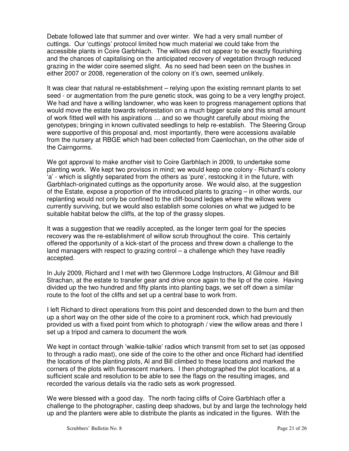Debate followed late that summer and over winter. We had a very small number of cuttings. Our 'cuttings' protocol limited how much material we could take from the accessible plants in Coire Garbhlach. The willows did not appear to be exactly flourishing and the chances of capitalising on the anticipated recovery of vegetation through reduced grazing in the wider coire seemed slight. As no seed had been seen on the bushes in either 2007 or 2008, regeneration of the colony on it's own, seemed unlikely.

It was clear that natural re-establishment – relying upon the existing remnant plants to set seed - or augmentation from the pure genetic stock, was going to be a very lengthy project. We had and have a willing landowner, who was keen to progress management options that would move the estate towards reforestation on a much bigger scale and this small amount of work fitted well with his aspirations … and so we thought carefully about mixing the genotypes; bringing in known cultivated seedlings to help re-establish. The Steering Group were supportive of this proposal and, most importantly, there were accessions available from the nursery at RBGE which had been collected from Caenlochan, on the other side of the Cairngorms.

We got approval to make another visit to Coire Garbhlach in 2009, to undertake some planting work. We kept two provisos in mind; we would keep one colony - Richard's colony 'a' - which is slightly separated from the others as 'pure', restocking it in the future, with Garbhlach-originated cuttings as the opportunity arose. We would also, at the suggestion of the Estate, expose a proportion of the introduced plants to grazing – in other words, our replanting would not only be confined to the cliff-bound ledges where the willows were currently surviving, but we would also establish some colonies on what we judged to be suitable habitat below the cliffs, at the top of the grassy slopes.

It was a suggestion that we readily accepted, as the longer term goal for the species recovery was the re-establishment of willow scrub throughout the coire. This certainly offered the opportunity of a kick-start of the process and threw down a challenge to the land managers with respect to grazing control – a challenge which they have readily accepted.

In July 2009, Richard and I met with two Glenmore Lodge Instructors, Al Gilmour and Bill Strachan, at the estate to transfer gear and drive once again to the lip of the coire. Having divided up the two hundred and fifty plants into planting bags, we set off down a similar route to the foot of the cliffs and set up a central base to work from.

I left Richard to direct operations from this point and descended down to the burn and then up a short way on the other side of the coire to a prominent rock, which had previously provided us with a fixed point from which to photograph / view the willow areas and there I set up a tripod and camera to document the work

We kept in contact through 'walkie-talkie' radios which transmit from set to set (as opposed to through a radio mast), one side of the coire to the other and once Richard had identified the locations of the planting plots, Al and Bill climbed to these locations and marked the corners of the plots with fluorescent markers. I then photographed the plot locations, at a sufficient scale and resolution to be able to see the flags on the resulting images, and recorded the various details via the radio sets as work progressed.

We were blessed with a good day. The north facing cliffs of Coire Garbhlach offer a challenge to the photographer, casting deep shadows, but by and large the technology held up and the planters were able to distribute the plants as indicated in the figures. With the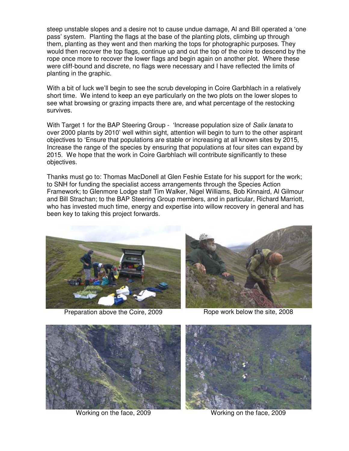steep unstable slopes and a desire not to cause undue damage, Al and Bill operated a 'one pass' system. Planting the flags at the base of the planting plots, climbing up through them, planting as they went and then marking the tops for photographic purposes. They would then recover the top flags, continue up and out the top of the coire to descend by the rope once more to recover the lower flags and begin again on another plot. Where these were cliff-bound and discrete, no flags were necessary and I have reflected the limits of planting in the graphic.

With a bit of luck we'll begin to see the scrub developing in Coire Garbhlach in a relatively short time. We intend to keep an eye particularly on the two plots on the lower slopes to see what browsing or grazing impacts there are, and what percentage of the restocking survives.

With Target 1 for the BAP Steering Group - 'Increase population size of Salix lanata to over 2000 plants by 2010' well within sight, attention will begin to turn to the other aspirant objectives to 'Ensure that populations are stable or increasing at all known sites by 2015, Increase the range of the species by ensuring that populations at four sites can expand by 2015. We hope that the work in Coire Garbhlach will contribute significantly to these objectives.

Thanks must go to: Thomas MacDonell at Glen Feshie Estate for his support for the work; to SNH for funding the specialist access arrangements through the Species Action Framework; to Glenmore Lodge staff Tim Walker, Nigel Williams, Bob Kinnaird, Al Gilmour and Bill Strachan; to the BAP Steering Group members, and in particular, Richard Marriott, who has invested much time, energy and expertise into willow recovery in general and has been key to taking this project forwards.



Preparation above the Coire, 2009 Rope work below the site, 2008





Working on the face, 2009 Working on the face, 2009

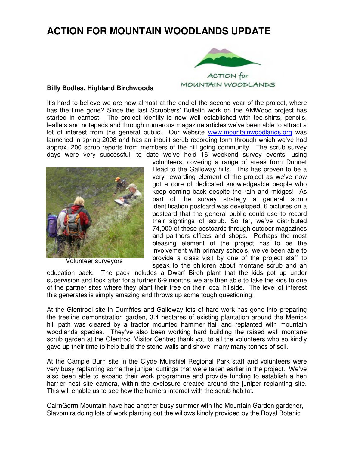## **ACTION FOR MOUNTAIN WOODLANDS UPDATE**



#### **Billy Bodles, Highland Birchwoods**

It's hard to believe we are now almost at the end of the second year of the project, where has the time gone? Since the last Scrubbers' Bulletin work on the AMWood project has started in earnest. The project identity is now well established with tee-shirts, pencils, leaflets and notepads and through numerous magazine articles we've been able to attract a lot of interest from the general public. Our website www.mountainwoodlands.org was launched in spring 2008 and has an inbuilt scrub recording form through which we've had approx. 200 scrub reports from members of the hill going community. The scrub survey days were very successful, to date we've held 16 weekend survey events, using



Volunteer surveyors

volunteers, covering a range of areas from Dunnet Head to the Galloway hills. This has proven to be a very rewarding element of the project as we've now got a core of dedicated knowledgeable people who keep coming back despite the rain and midges! As part of the survey strategy a general scrub identification postcard was developed, 6 pictures on a postcard that the general public could use to record their sightings of scrub. So far, we've distributed 74,000 of these postcards through outdoor magazines and partners offices and shops. Perhaps the most pleasing element of the project has to be the involvement with primary schools, we've been able to provide a class visit by one of the project staff to speak to the children about montane scrub and an

education pack. The pack includes a Dwarf Birch plant that the kids pot up under supervision and look after for a further 6-9 months, we are then able to take the kids to one of the partner sites where they plant their tree on their local hillside. The level of interest this generates is simply amazing and throws up some tough questioning!

At the Glentrool site in Dumfries and Galloway lots of hard work has gone into preparing the treeline demonstration garden, 3.4 hectares of existing plantation around the Merrick hill path was cleared by a tractor mounted hammer flail and replanted with mountain woodlands species. They've also been working hard building the raised wall montane scrub garden at the Glentrool Visitor Centre; thank you to all the volunteers who so kindly gave up their time to help build the stone walls and shovel many many tonnes of soil.

At the Cample Burn site in the Clyde Muirshiel Regional Park staff and volunteers were very busy replanting some the juniper cuttings that were taken earlier in the project. We've also been able to expand their work programme and provide funding to establish a hen harrier nest site camera, within the exclosure created around the juniper replanting site. This will enable us to see how the harriers interact with the scrub habitat.

CairnGorm Mountain have had another busy summer with the Mountain Garden gardener, Slavomira doing lots of work planting out the willows kindly provided by the Royal Botanic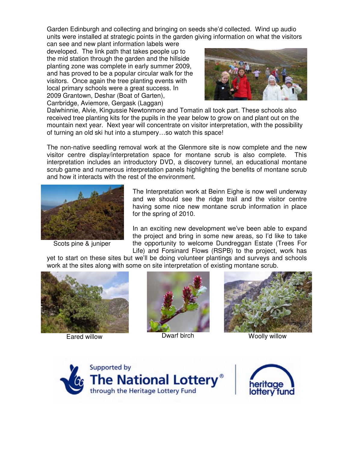Garden Edinburgh and collecting and bringing on seeds she'd collected. Wind up audio units were installed at strategic points in the garden giving information on what the visitors can see and new plant information labels were

developed. The link path that takes people up to the mid station through the garden and the hillside planting zone was complete in early summer 2009, and has proved to be a popular circular walk for the visitors. Once again the tree planting events with local primary schools were a great success. In 2009 Grantown, Deshar (Boat of Garten), Carrbridge, Aviemore, Gergask (Laggan)



Dalwhinnie, Alvie, Kingussie Newtonmore and Tomatin all took part. These schools also received tree planting kits for the pupils in the year below to grow on and plant out on the mountain next year. Next year will concentrate on visitor interpretation, with the possibility of turning an old ski hut into a stumpery…so watch this space!

The non-native seedling removal work at the Glenmore site is now complete and the new visitor centre display/interpretation space for montane scrub is also complete. This interpretation includes an introductory DVD, a discovery tunnel, an educational montane scrub game and numerous interpretation panels highlighting the benefits of montane scrub and how it interacts with the rest of the environment.



Scots pine & juniper

The Interpretation work at Beinn Eighe is now well underway and we should see the ridge trail and the visitor centre having some nice new montane scrub information in place for the spring of 2010.

In an exciting new development we've been able to expand the project and bring in some new areas, so I'd like to take the opportunity to welcome Dundreggan Estate (Trees For Life) and Forsinard Flows (RSPB) to the project, work has

yet to start on these sites but we'll be doing volunteer plantings and surveys and schools work at the sites along with some on site interpretation of existing montane scrub.







Eared willow **Dwarf birch** Woolly willow